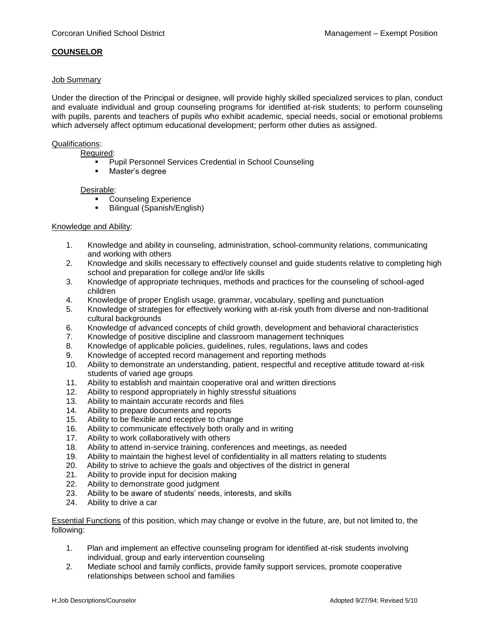# **COUNSELOR**

## Job Summary

Under the direction of the Principal or designee, will provide highly skilled specialized services to plan, conduct and evaluate individual and group counseling programs for identified at-risk students; to perform counseling with pupils, parents and teachers of pupils who exhibit academic, special needs, social or emotional problems which adversely affect optimum educational development; perform other duties as assigned.

#### Qualifications:

Required:

- Pupil Personnel Services Credential in School Counseling
- Master's degree

#### Desirable:

- **Counseling Experience**
- Bilingual (Spanish/English)

## Knowledge and Ability:

- 1. Knowledge and ability in counseling, administration, school-community relations, communicating and working with others
- 2. Knowledge and skills necessary to effectively counsel and guide students relative to completing high school and preparation for college and/or life skills
- 3. Knowledge of appropriate techniques, methods and practices for the counseling of school-aged children
- 4. Knowledge of proper English usage, grammar, vocabulary, spelling and punctuation
- 5. Knowledge of strategies for effectively working with at-risk youth from diverse and non-traditional cultural backgrounds
- 6. Knowledge of advanced concepts of child growth, development and behavioral characteristics
- 7. Knowledge of positive discipline and classroom management techniques
- 8. Knowledge of applicable policies, guidelines, rules, regulations, laws and codes
- 9. Knowledge of accepted record management and reporting methods
- 10. Ability to demonstrate an understanding, patient, respectful and receptive attitude toward at-risk students of varied age groups
- 11. Ability to establish and maintain cooperative oral and written directions
- 12. Ability to respond appropriately in highly stressful situations
- 13. Ability to maintain accurate records and files
- 14. Ability to prepare documents and reports
- 15. Ability to be flexible and receptive to change
- 16. Ability to communicate effectively both orally and in writing
- 17. Ability to work collaboratively with others
- 18. Ability to attend in-service training, conferences and meetings, as needed
- 19. Ability to maintain the highest level of confidentiality in all matters relating to students
- 20. Ability to strive to achieve the goals and objectives of the district in general
- 21. Ability to provide input for decision making
- 22. Ability to demonstrate good judgment
- 23. Ability to be aware of students' needs, interests, and skills
- 24. Ability to drive a car

Essential Functions of this position, which may change or evolve in the future, are, but not limited to, the following:

- 1. Plan and implement an effective counseling program for identified at-risk students involving individual, group and early intervention counseling
- 2. Mediate school and family conflicts, provide family support services, promote cooperative relationships between school and families